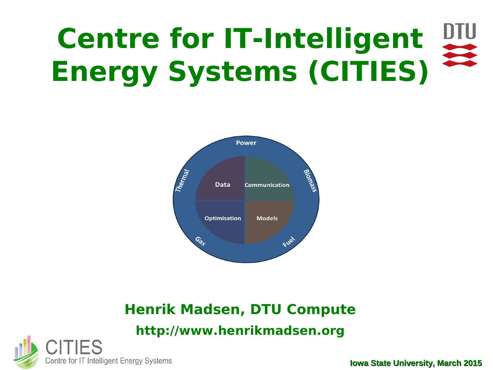### DTU **Centre for IT-Intelligent Energy Systems (CITIES)**



### **Henrik Madsen, DTU Compute http://www.henrikmadsen.org**

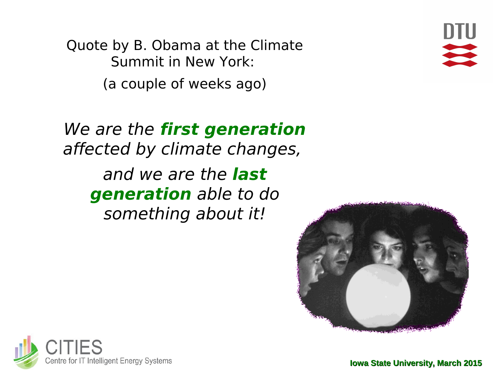Quote by B. Obama at the Climate Summit in New York: (a couple of weeks ago)

We are the **first generation** affected by climate changes, and we are the **last generation** able to do something about it!





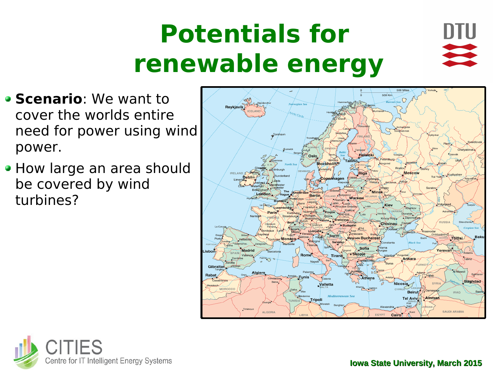# **Potentials for renewable energy**



- **Scenario:** We want to cover the worlds entire need for power using wind power.
- How large an area should be covered by wind turbines?



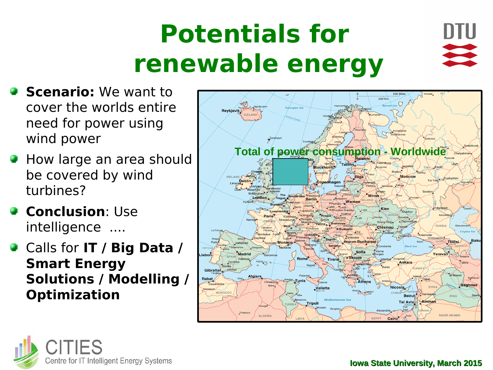# **Potentials for renewable energy**



- **Scenario:** We want to cover the worlds entire need for power using wind power
- **How large an area should** be covered by wind turbines?
- **<sup>c</sup>** Conclusion: Use intelligence ....
- Calls for **IT / Big Data / Smart Energy Solutions / Modelling / Optimization**



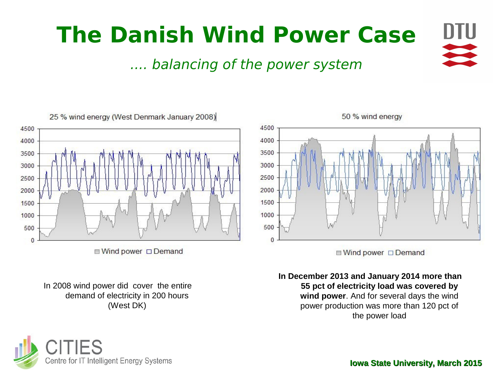



■ Wind power □ Demand

In 2008 wind power did cover the entire demand of electricity in 200 hours (West DK)





**■ Wind power □ Demand** 

**In December 2013 and January 2014 more than 55 pct of electricity load was covered by wind power**. And for several days the wind power production was more than 120 pct of the power load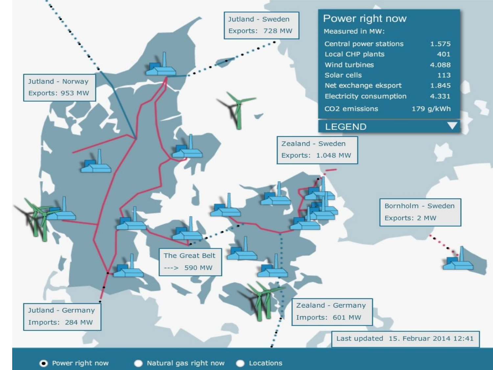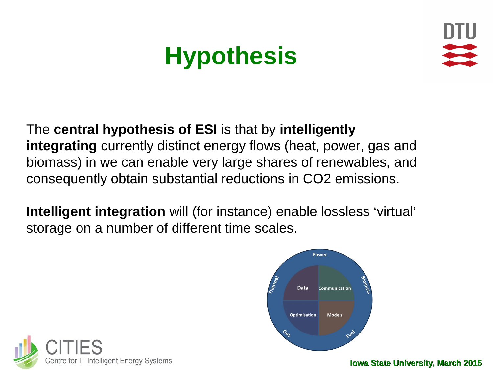## **Hypothesis**



#### The **central hypothesis of ESI** is that by **intelligently integrating** currently distinct energy flows (heat, power, gas and biomass) in we can enable very large shares of renewables, and consequently obtain substantial reductions in CO2 emissions.

**Intelligent integration** will (for instance) enable lossless 'virtual' storage on a number of different time scales.



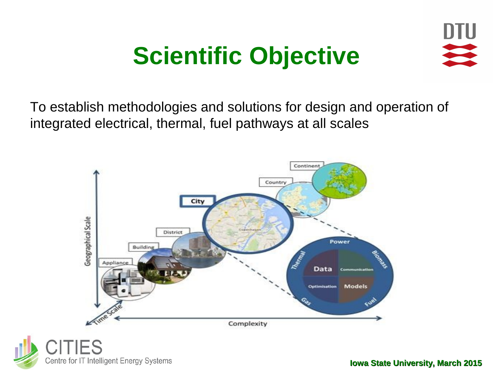## **Scientific Objective**



To establish methodologies and solutions for design and operation of integrated electrical, thermal, fuel pathways at all scales

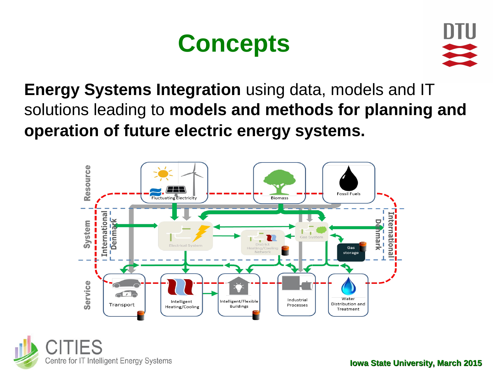### **Concepts**



**Energy Systems Integration** using data, models and IT solutions leading to **models and methods for planning and operation of future electric energy systems.**